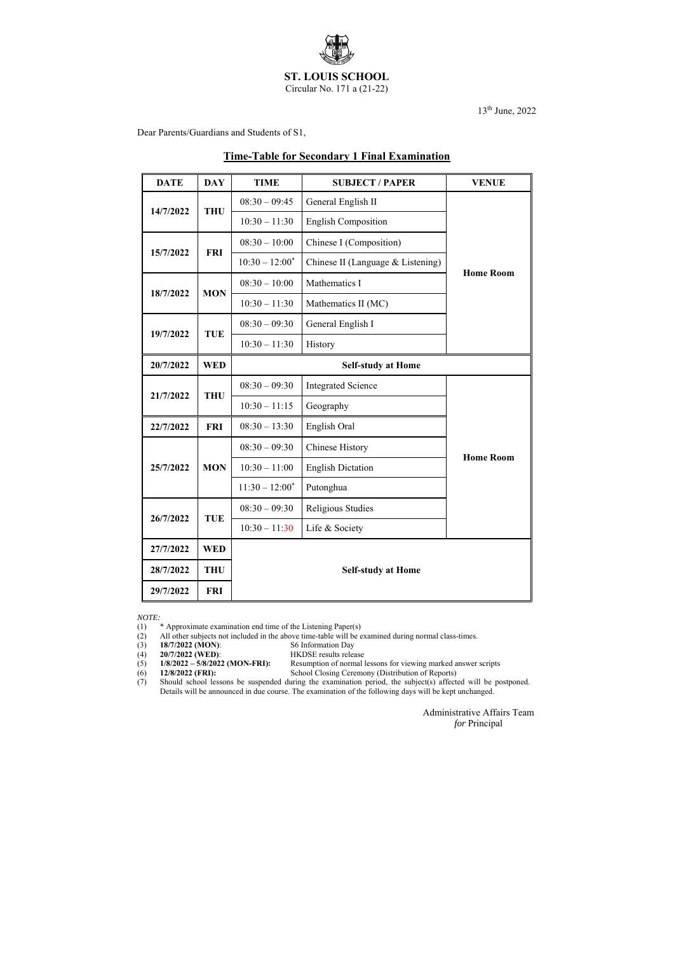

Circular No. 171 a (21-22)

13th June, 2022

Dear Parents/Guardians and Students of S1,

# **Time-Table for Secondary 1 Final Examination**

- (2) All other subjects not included in the above time-table will be examined during normal class-times.
- (3) **18/7/2022 (MON):** S6 Information Day<br>
(4) **20/7/2022 (WED):** HKDSE results release
	-

(4) **20/7/2022 (WED):**<br>(5) **1/8/2022 – 5/8/2022 (MON-FRI):** 1/8/2022 – 5/8/2022 (MON-FRI): Resumption of normal lessons for viewing marked answer scripts<br>12/8/2022 (FRI): School Closing Ceremony (Distribution of Reports)

| <b>DATE</b> | <b>DAY</b> | <b>TIME</b>               | <b>SUBJECT / PAPER</b>            | <b>VENUE</b>     |  |
|-------------|------------|---------------------------|-----------------------------------|------------------|--|
| 14/7/2022   | <b>THU</b> | $08:30 - 09:45$           | General English II                |                  |  |
|             |            | $10:30 - 11:30$           | <b>English Composition</b>        |                  |  |
| 15/7/2022   | <b>FRI</b> | $08:30 - 10:00$           | Chinese I (Composition)           |                  |  |
|             |            | $10:30 - 12:00^*$         | Chinese II (Language & Listening) | <b>Home Room</b> |  |
| 18/7/2022   | <b>MON</b> | $08:30 - 10:00$           | Mathematics I                     |                  |  |
|             |            | $10:30 - 11:30$           | Mathematics II (MC)               |                  |  |
| 19/7/2022   | <b>TUE</b> | $08:30 - 09:30$           | General English I                 |                  |  |
|             |            | $10:30 - 11:30$           | History                           |                  |  |
| 20/7/2022   | <b>WED</b> | <b>Self-study at Home</b> |                                   |                  |  |
| 21/7/2022   | <b>THU</b> | $08:30 - 09:30$           | <b>Integrated Science</b>         |                  |  |
|             |            | $10:30 - 11:15$           | Geography                         |                  |  |
| 22/7/2022   | <b>FRI</b> | $08:30 - 13:30$           | English Oral                      |                  |  |
|             | <b>MON</b> | $08:30 - 09:30$           | <b>Chinese History</b>            | <b>Home Room</b> |  |
| 25/7/2022   |            | $10:30 - 11:00$           | <b>English Dictation</b>          |                  |  |
|             |            | $11:30 - 12:00^*$         | Putonghua                         |                  |  |
| 26/7/2022   | <b>TUE</b> | $08:30 - 09:30$           | Religious Studies                 |                  |  |
|             |            | $10:30 - 11:30$           | Life & Society                    |                  |  |
| 27/7/2022   | <b>WED</b> |                           |                                   |                  |  |
| 28/7/2022   | <b>THU</b> | <b>Self-study at Home</b> |                                   |                  |  |
| 29/7/2022   | <b>FRI</b> |                           |                                   |                  |  |

(7) Should school lessons be suspended during the examination period, the subject(s) affected will be postponed. Details will be announced in due course. The examination of the following days will be kept unchanged.

*NOTE:*

(1) \* Approximate examination end time of the Listening Paper(s)

(6) **12/8/2022 (FRI):** School Closing Ceremony (Distribution of Reports)

Administrative Affairs Team

*for* Principal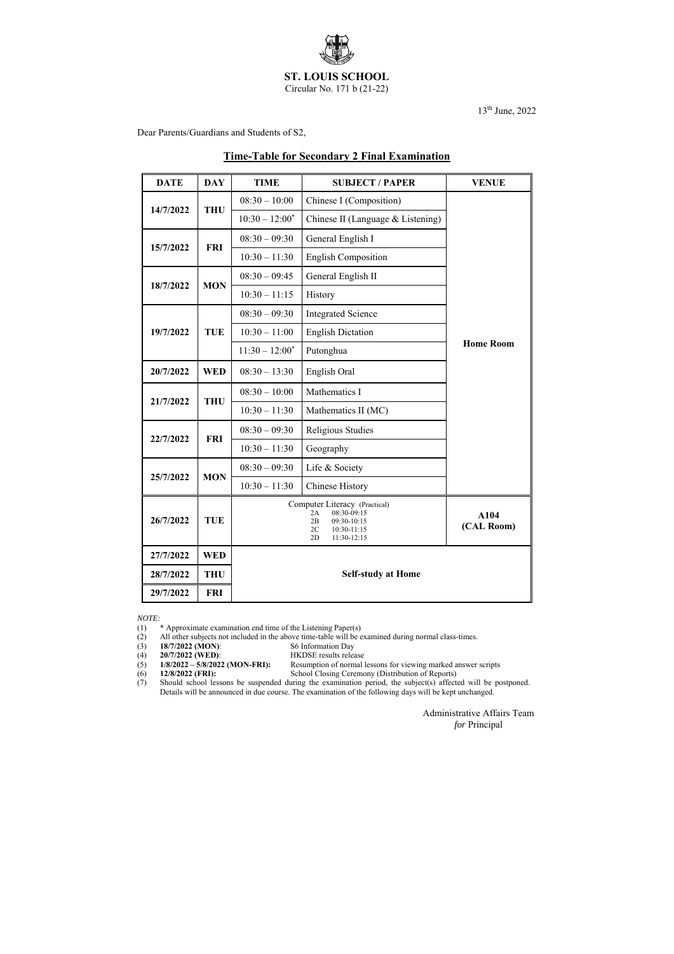

Circular No. 171 b (21-22)

13th June, 2022

Dear Parents/Guardians and Students of S2,

# **Time-Table for Secondary 2 Final Examination**

| <b>DATE</b> | <b>DAY</b> | <b>TIME</b>               | <b>SUBJECT / PAPER</b>                                                                                            | <b>VENUE</b>       |  |  |
|-------------|------------|---------------------------|-------------------------------------------------------------------------------------------------------------------|--------------------|--|--|
| 14/7/2022   | <b>THU</b> | $08:30 - 10:00$           | Chinese I (Composition)                                                                                           |                    |  |  |
|             |            | $10:30 - 12:00^*$         | Chinese II (Language & Listening)                                                                                 |                    |  |  |
|             | <b>FRI</b> | $08:30 - 09:30$           | General English I                                                                                                 |                    |  |  |
| 15/7/2022   |            | $10:30 - 11:30$           | <b>English Composition</b>                                                                                        |                    |  |  |
|             | <b>MON</b> | $08:30 - 09:45$           | General English II                                                                                                |                    |  |  |
| 18/7/2022   |            | $10:30 - 11:15$           | History                                                                                                           |                    |  |  |
|             |            | $08:30 - 09:30$           | <b>Integrated Science</b>                                                                                         |                    |  |  |
| 19/7/2022   | <b>TUE</b> | $10:30 - 11:00$           | <b>English Dictation</b>                                                                                          | <b>Home Room</b>   |  |  |
|             |            | $11:30 - 12:00^*$         | Putonghua                                                                                                         |                    |  |  |
| 20/7/2022   | <b>WED</b> | $08:30 - 13:30$           | English Oral                                                                                                      |                    |  |  |
|             | <b>THU</b> | $08:30 - 10:00$           | Mathematics I                                                                                                     |                    |  |  |
| 21/7/2022   |            | $10:30 - 11:30$           | Mathematics II (MC)                                                                                               |                    |  |  |
| 22/7/2022   | <b>FRI</b> | $08:30 - 09:30$           | Religious Studies                                                                                                 |                    |  |  |
|             |            | $10:30 - 11:30$           | Geography                                                                                                         |                    |  |  |
|             | <b>MON</b> | $08:30 - 09:30$           | Life & Society                                                                                                    |                    |  |  |
| 25/7/2022   |            | $10:30 - 11:30$           | <b>Chinese History</b>                                                                                            |                    |  |  |
| 26/7/2022   | <b>TUE</b> |                           | Computer Literacy (Practical)<br>08:30-09:15<br>2A<br>09:30-10:15<br>2B<br>2C<br>10:30-11:15<br>2D<br>11:30-12:15 | A104<br>(CAL Room) |  |  |
| 27/7/2022   | <b>WED</b> |                           |                                                                                                                   |                    |  |  |
| 28/7/2022   | <b>THU</b> | <b>Self-study at Home</b> |                                                                                                                   |                    |  |  |
| 29/7/2022   | <b>FRI</b> |                           |                                                                                                                   |                    |  |  |

*NOTE:*

(1) \* Approximate examination end time of the Listening Paper(s)

- (2) All other subjects not included in the above time-table will be examined during normal class-times.
- (3) **18/7/2022 (MON)**: S6 Information Day
	-
- (4) **20/7/2022 (WED):** HKDSE results release<br>(5) **1/8/2022 5/8/2022 (MON-FRI):** Resumption of normal (5) **1/8/2022 – 5/8/2022 (MON-FRI):** Resumption of normal lessons for viewing marked answer scripts
- 
- 

(6) **12/8/2022 (FRI):** School Closing Ceremony (Distribution of Reports) (7) Should school lessons be suspended during the examination period, the subject(s) affected will be postponed. Details will be announced in due course. The examination of the following days will be kept unchanged.

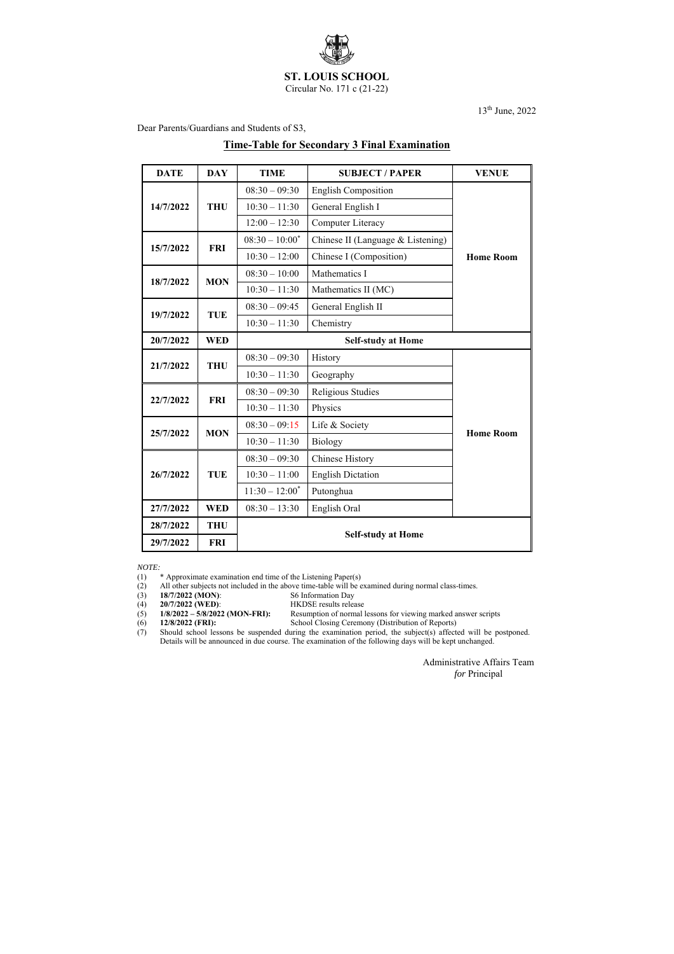

Circular No. 171 c (21-22)

13th June, 2022

Dear Parents/Guardians and Students of S3,

### **Time-Table for Secondary 3 Final Examination**

| <b>DATE</b> | <b>DAY</b> | <b>TIME</b>               | <b>SUBJECT / PAPER</b>            | <b>VENUE</b>     |  |
|-------------|------------|---------------------------|-----------------------------------|------------------|--|
| 14/7/2022   | <b>THU</b> | $08:30 - 09:30$           | <b>English Composition</b>        | <b>Home Room</b> |  |
|             |            | $10:30 - 11:30$           | General English I                 |                  |  |
|             |            | $12:00 - 12:30$           | Computer Literacy                 |                  |  |
|             | <b>FRI</b> | $08:30 - 10:00^*$         | Chinese II (Language & Listening) |                  |  |
| 15/7/2022   |            | $10:30 - 12:00$           | Chinese I (Composition)           |                  |  |
| 18/7/2022   |            | $08:30 - 10:00$           | Mathematics I                     |                  |  |
|             | <b>MON</b> | $10:30 - 11:30$           | Mathematics II (MC)               |                  |  |
| 19/7/2022   | <b>TUE</b> | $08:30 - 09:45$           | General English II                |                  |  |
|             |            | $10:30 - 11:30$           | Chemistry                         |                  |  |
| 20/7/2022   | <b>WED</b> | <b>Self-study at Home</b> |                                   |                  |  |
| 21/7/2022   | <b>THU</b> | $08:30 - 09:30$           | History                           |                  |  |
|             |            | $10:30 - 11:30$           | Geography                         |                  |  |
| 22/7/2022   | <b>FRI</b> | $08:30 - 09:30$           | Religious Studies                 |                  |  |
|             |            | $10:30 - 11:30$           | Physics                           |                  |  |
| 25/7/2022   | <b>MON</b> | $08:30 - 09:15$           | Life & Society                    | <b>Home Room</b> |  |
|             |            | $10:30 - 11:30$           | Biology                           |                  |  |
| 26/7/2022   | <b>TUE</b> | $08:30 - 09:30$           | <b>Chinese History</b>            |                  |  |
|             |            | $10:30 - 11:00$           | <b>English Dictation</b>          |                  |  |
|             |            | $11:30 - 12:00^*$         | Putonghua                         |                  |  |
| 27/7/2022   | <b>WED</b> | $08:30 - 13:30$           | English Oral                      |                  |  |
| 28/7/2022   | <b>THU</b> | <b>Self-study at Home</b> |                                   |                  |  |
| 29/7/2022   | <b>FRI</b> |                           |                                   |                  |  |

*NOTE:*

(1) \* Approximate examination end time of the Listening Paper(s)

(2) All other subjects not included in the above time-table will be examined during normal class-times.<br>(3) 18/7/2022 (MON): S6 Information Day

**18/7/2022 (MON):** S6 Information Day<br>**20/7/2022 (WED):** HKDSE results relea

(4) **20/7/2022 (WED):** HKDSE results release<br>(5) **1/8/2022 – 5/8/2022 (MON-FRI):** Resumption of normal l Resumption of normal lessons for viewing marked answer scripts

(6) **12/8/2022 (FRI):** School Closing Ceremony (Distribution of Reports)

(7) Should school lessons be suspended during the examination period, the subject(s) affected will be postponed. Details will be announced in due course. The examination of the following days will be kept unchanged.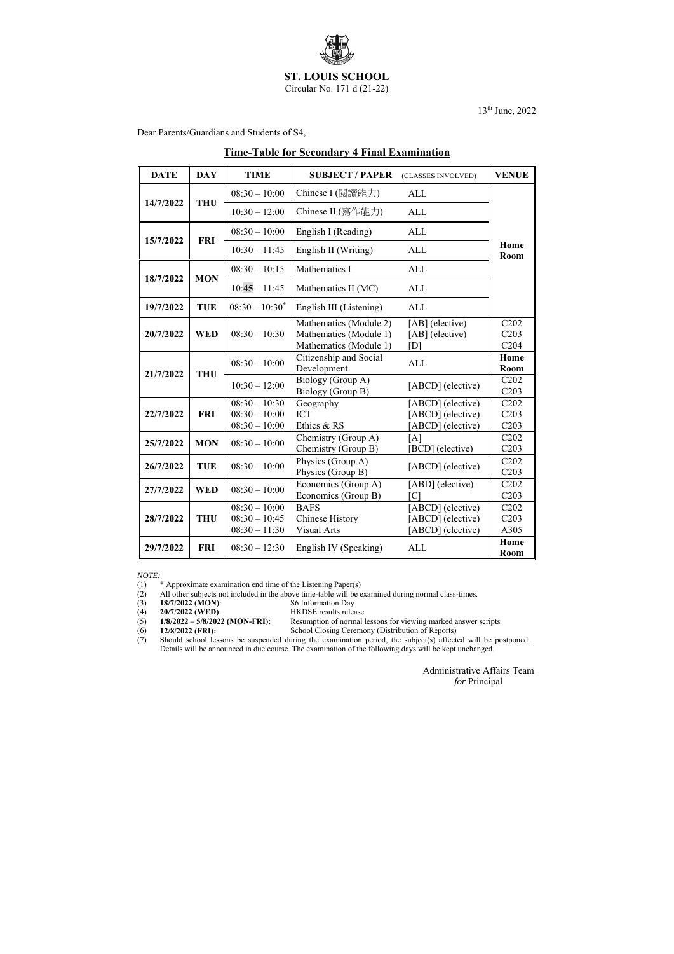

Circular No. 171 d (21-22)

13th June, 2022

Dear Parents/Guardians and Students of S4,

#### **Time-Table for Secondary 4 Final Examination**

*NOTE:*<br>(1) (1) \* Approximate examination end time of the Listening Paper(s)

| <b>DATE</b> | <b>DAY</b> | <b>TIME</b>                                           | <b>SUBJECT / PAPER</b>                                                     | (CLASSES INVOLVED)                                          | <b>VENUE</b>                                  |  |
|-------------|------------|-------------------------------------------------------|----------------------------------------------------------------------------|-------------------------------------------------------------|-----------------------------------------------|--|
| 14/7/2022   | <b>THU</b> | $08:30 - 10:00$                                       | Chinese I (閱讀能力)                                                           | <b>ALL</b>                                                  |                                               |  |
|             |            | $10:30 - 12:00$                                       | Chinese II (寫作能力)                                                          | <b>ALL</b>                                                  | Home<br>Room                                  |  |
| 15/7/2022   | <b>FRI</b> | $08:30 - 10:00$                                       | English I (Reading)                                                        | <b>ALL</b>                                                  |                                               |  |
|             |            | $10:30 - 11:45$                                       | English II (Writing)                                                       | <b>ALL</b>                                                  |                                               |  |
| 18/7/2022   | <b>MON</b> | $08:30 - 10:15$                                       | Mathematics I                                                              | <b>ALL</b>                                                  |                                               |  |
|             |            | $10:45 - 11:45$                                       | Mathematics II (MC)                                                        | <b>ALL</b>                                                  |                                               |  |
| 19/7/2022   | <b>TUE</b> | $08:30 - 10:30^*$                                     | English III (Listening)                                                    | <b>ALL</b>                                                  |                                               |  |
| 20/7/2022   | <b>WED</b> | $08:30 - 10:30$                                       | Mathematics (Module 2)<br>Mathematics (Module 1)<br>Mathematics (Module 1) | [AB] (elective)<br>[AB] (elective)<br>[D]                   | C202<br>C203<br>C <sub>204</sub>              |  |
| 21/7/2022   | <b>THU</b> | $08:30 - 10:00$                                       | Citizenship and Social<br>Development                                      | <b>ALL</b>                                                  | Home<br>Room                                  |  |
|             |            | $10:30 - 12:00$                                       | Biology (Group A)<br>Biology (Group B)                                     | [ABCD] (elective)                                           | C <sub>2</sub> 0 <sub>2</sub><br>C203         |  |
| 22/7/2022   | <b>FRI</b> | $08:30 - 10:30$<br>$08:30 - 10:00$<br>$08:30 - 10:00$ | Geography<br><b>ICT</b><br>Ethics & RS                                     | [ABCD] (elective)<br>[ABCD] (elective)<br>[ABCD] (elective) | C <sub>2</sub> 0 <sub>2</sub><br>C203<br>C203 |  |
| 25/7/2022   | <b>MON</b> | $08:30 - 10:00$                                       | Chemistry (Group A)<br>Chemistry (Group B)                                 | [A]<br>[BCD] (elective)                                     | C <sub>2</sub> 0 <sub>2</sub><br>C203         |  |
| 26/7/2022   | <b>TUE</b> | $08:30 - 10:00$                                       | Physics (Group A)<br>Physics (Group B)                                     | [ABCD] (elective)                                           | C <sub>2</sub> 0 <sub>2</sub><br>C203         |  |
| 27/7/2022   | <b>WED</b> | $08:30 - 10:00$                                       | Economics (Group A)<br>Economics (Group B)                                 | [ABD] (elective)<br>[ <sub>C</sub> ]                        | C <sub>2</sub> 0 <sub>2</sub><br>C203         |  |
| 28/7/2022   | <b>THU</b> | $08:30 - 10:00$<br>$08:30 - 10:45$<br>$08:30 - 11:30$ | <b>BAFS</b><br><b>Chinese History</b><br><b>Visual Arts</b>                | [ABCD] (elective)<br>[ABCD] (elective)<br>[ABCD] (elective) | C <sub>2</sub> 0 <sub>2</sub><br>C203<br>A305 |  |
| 29/7/2022   | <b>FRI</b> | $08:30 - 12:30$                                       | English IV (Speaking)                                                      | <b>ALL</b>                                                  | Home<br>Room                                  |  |

- (4) **20/7/2022 (WED):** HKDSE results release<br>(5) **1/8/2022 5/8/2022 (MON-FRI):** Resumption of normal l Resumption of normal lessons for viewing marked answer scripts
- (6) **12/8/2022 (FRI):** School Closing Ceremony (Distribution of Reports)

(2) All other subjects not included in the above time-table will be examined during normal class-times.

(3) **18/7/2022 (MON)**: S6 Information Day

<sup>(7)</sup> Should school lessons be suspended during the examination period, the subject(s) affected will be postponed. Details will be announced in due course. The examination of the following days will be kept unchanged.